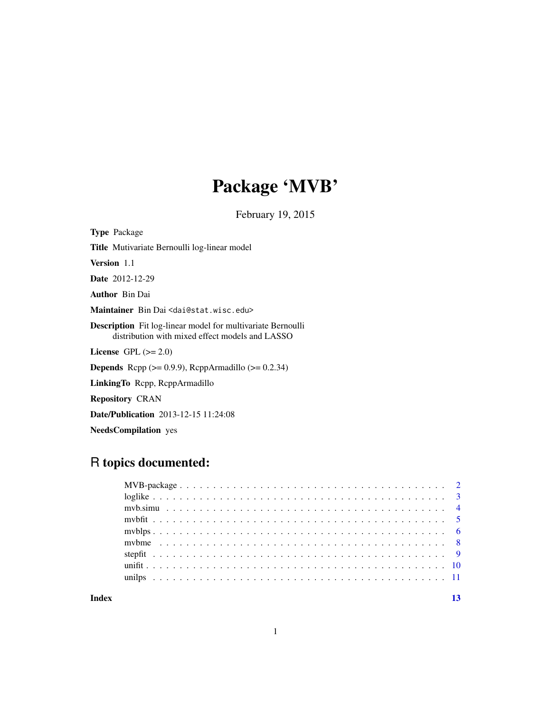# Package 'MVB'

February 19, 2015

Title Mutivariate Bernoulli log-linear model Version 1.1 Date 2012-12-29 Author Bin Dai Maintainer Bin Dai <dai@stat.wisc.edu> Description Fit log-linear model for multivariate Bernoulli distribution with mixed effect models and LASSO License GPL  $(>= 2.0)$ **Depends** Rcpp  $(>= 0.9.9)$ , RcppArmadillo  $(>= 0.2.34)$ LinkingTo Rcpp, RcppArmadillo Repository CRAN Date/Publication 2013-12-15 11:24:08

NeedsCompilation yes

Type Package

# R topics documented:

| Index |  | 13 |
|-------|--|----|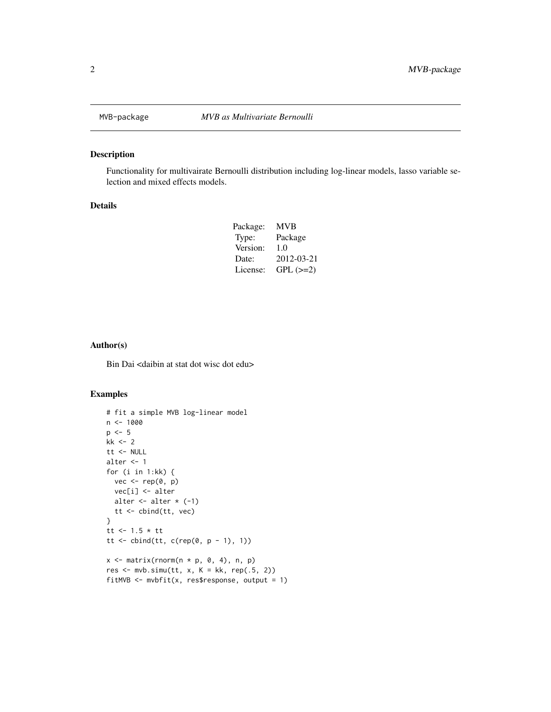<span id="page-1-0"></span>

#### Description

Functionality for multivairate Bernoulli distribution including log-linear models, lasso variable selection and mixed effects models.

#### Details

| Package: | <b>MVB</b>    |
|----------|---------------|
| Type:    | Package       |
| Version: | 1.0           |
| Date:    | 2012-03-21    |
| License: | $GPL$ $(>=2)$ |

#### Author(s)

Bin Dai <daibin at stat dot wisc dot edu>

```
# fit a simple MVB log-linear model
n < - 1000p \le -5kk <- 2
tt <- NULL
alter <- 1
for (i in 1:kk) {
 vec < - rep(0, p)vec[i] <- alter
  alter \leftarrow alter \star (-1)
  tt <- cbind(tt, vec)
}
tt <- 1.5 * tt
tt <- cbind(tt, c(rep(0, p - 1), 1))
x \le matrix(rnorm(n * p, 0, 4), n, p)
res \le mvb.simu(tt, x, K = kk, rep(.5, 2))fitMVB <- mvbfit(x, res$response, output = 1)
```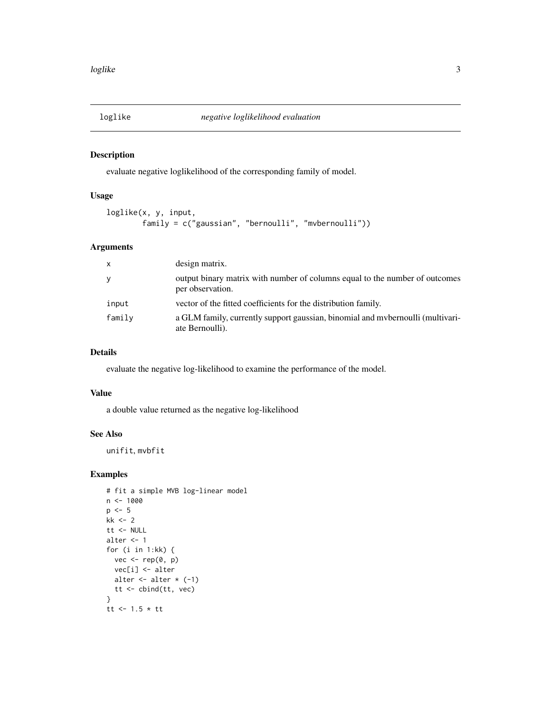<span id="page-2-0"></span>

# Description

evaluate negative loglikelihood of the corresponding family of model.

# Usage

```
loglike(x, y, input,
       family = c("gaussian", "bernoulli", "mvbernoulli"))
```
# Arguments

| $\mathsf{x}$ | design matrix.                                                                                    |
|--------------|---------------------------------------------------------------------------------------------------|
| У            | output binary matrix with number of columns equal to the number of outcomes<br>per observation.   |
| input        | vector of the fitted coefficients for the distribution family.                                    |
| family       | a GLM family, currently support gaussian, binomial and mvbernoulli (multivari-<br>ate Bernoulli). |

# Details

evaluate the negative log-likelihood to examine the performance of the model.

#### Value

a double value returned as the negative log-likelihood

#### See Also

unifit, mvbfit

```
# fit a simple MVB log-linear model
n <- 1000
p \le -5kk <- 2
tt <- NULL
alter <- 1
for (i in 1:kk) {
  vec < - rep(0, p)vec[i] <- alter
  alter \leftarrow alter \star (-1)
  tt <- cbind(tt, vec)
}
tt <-1.5 * tt
```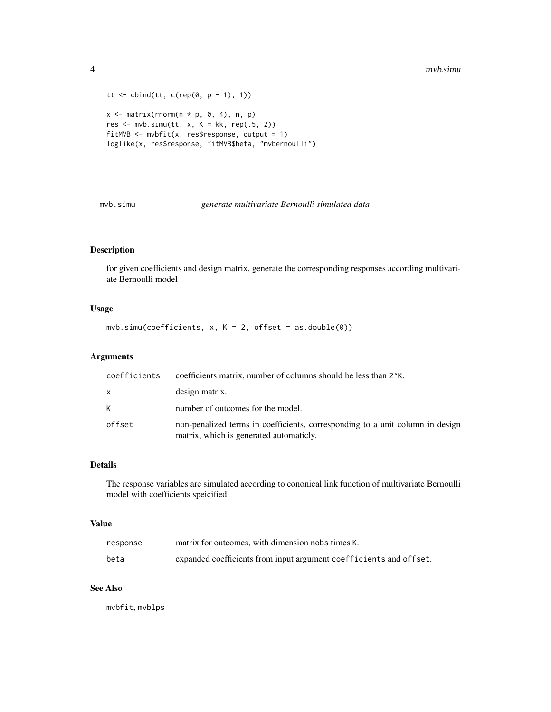```
tt \le cbind(tt, c(rep(0, p - 1), 1))
x \le matrix(rnorm(n * p, 0, 4), n, p)
res \leq mvb.simu(tt, x, K = kk, rep(.5, 2))
fitMVB \leq mvbfit(x, res$response, output = 1)
loglike(x, res$response, fitMVB$beta, "mvbernoulli")
```
mvb.simu *generate multivariate Bernoulli simulated data*

# Description

for given coefficients and design matrix, generate the corresponding responses according multivariate Bernoulli model

#### Usage

 $mvb.simu(coefficients, x, K = 2, offset = as.double(0))$ 

#### Arguments

| coefficients | coefficients matrix, number of columns should be less than 2 <sup><math>k</math></sup> K.                                |
|--------------|--------------------------------------------------------------------------------------------------------------------------|
| $\mathsf{X}$ | design matrix.                                                                                                           |
| K            | number of outcomes for the model.                                                                                        |
| offset       | non-penalized terms in coefficients, corresponding to a unit column in design<br>matrix, which is generated automaticly. |

# Details

The response variables are simulated according to cononical link function of multivariate Bernoulli model with coefficients speicified.

#### Value

| response | matrix for outcomes, with dimension nobs times K.                  |
|----------|--------------------------------------------------------------------|
| beta     | expanded coefficients from input argument coefficients and offset. |

# See Also

mvbfit, mvblps

<span id="page-3-0"></span>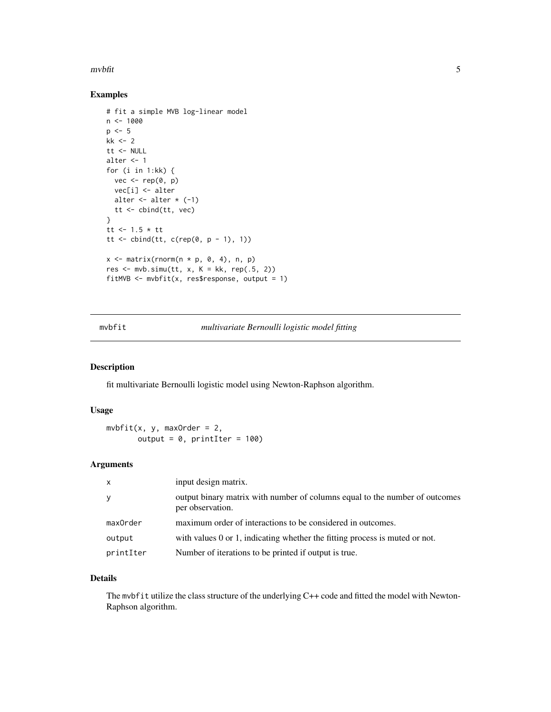#### <span id="page-4-0"></span> $m$ vbfit  $5$

# Examples

```
# fit a simple MVB log-linear model
n < - 1000p \le -5kk <-2tt <- NULL
alter <- 1
for (i in 1:kk) {
  vec < - rep(0, p)vec[i] <- alter
  alter \leftarrow alter \star (-1)
  tt <- cbind(tt, vec)
}
tt <- 1.5 * tt
tt <- cbind(tt, c(rep(0, p - 1), 1))
x \le matrix(rnorm(n * p, 0, 4), n, p)
res \leq mvb.simu(tt, x, K = kk, rep(.5, 2))
fitMVB \leq mvbfit(x, res$response, output = 1)
```
mvbfit *multivariate Bernoulli logistic model fitting*

#### Description

fit multivariate Bernoulli logistic model using Newton-Raphson algorithm.

#### Usage

```
m\nu\text{bfit}(x, y, maxOrder = 2,output = 0, printIter = 100)
```
# Arguments

| $\mathsf{x}$ | input design matrix.                                                                            |
|--------------|-------------------------------------------------------------------------------------------------|
| y            | output binary matrix with number of columns equal to the number of outcomes<br>per observation. |
| maxOrder     | maximum order of interactions to be considered in outcomes.                                     |
| output       | with values 0 or 1, indicating whether the fitting process is muted or not.                     |
| printIter    | Number of iterations to be printed if output is true.                                           |

# Details

The mvbfit utilize the class structure of the underlying C++ code and fitted the model with Newton-Raphson algorithm.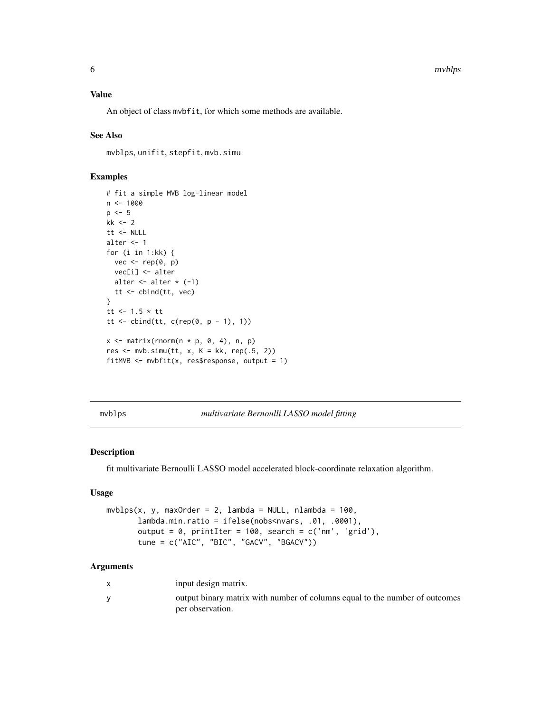#### <span id="page-5-0"></span>Value

An object of class mvbfit, for which some methods are available.

#### See Also

mvblps, unifit, stepfit, mvb.simu

# Examples

```
# fit a simple MVB log-linear model
n <- 1000
p \le -5kk <- 2
tt <- NULL
alter <- 1
for (i in 1:kk) {
 vec <- rep(0, p)
 vec[i] <- alter
 alter \leq alter \star (-1)
  tt <- cbind(tt, vec)
}
tt <- 1.5 * tt
tt <- cbind(tt, c(rep(0, p - 1), 1))
x \le matrix(rnorm(n * p, 0, 4), n, p)
res \leq mvb.simu(tt, x, K = kk, rep(.5, 2))
fitMVB \leq mvbfit(x, res$response, output = 1)
```
mvblps *multivariate Bernoulli LASSO model fitting*

#### Description

fit multivariate Bernoulli LASSO model accelerated block-coordinate relaxation algorithm.

#### Usage

```
mvblps(x, y, maxOrder = 2, lambda = NULL, nlambda = 100,lambda.min.ratio = ifelse(nobs<nvars, .01, .0001),
      output = 0, printIter = 100, search = c('nm', 'grid'),tune = c("AIC", "BIC", "GACV", "BGACV"))
```
#### Arguments

| input design matrix.                                                                            |
|-------------------------------------------------------------------------------------------------|
| output binary matrix with number of columns equal to the number of outcomes<br>per observation. |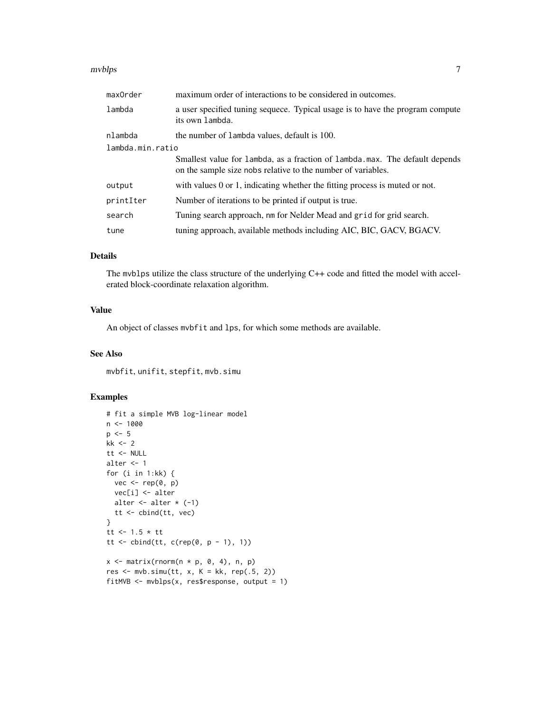#### mvblps **7**

| maxOrder         | maximum order of interactions to be considered in outcomes.                                                                                 |  |
|------------------|---------------------------------------------------------------------------------------------------------------------------------------------|--|
| lambda           | a user specified tuning sequece. Typical usage is to have the program compute<br>its own lambda.                                            |  |
| nlambda          | the number of lambda values, default is 100.                                                                                                |  |
| lambda.min.ratio |                                                                                                                                             |  |
|                  | Smallest value for lambda, as a fraction of lambda max. The default depends<br>on the sample size nobs relative to the number of variables. |  |
| output           | with values 0 or 1, indicating whether the fitting process is muted or not.                                                                 |  |
| printIter        | Number of iterations to be printed if output is true.                                                                                       |  |
| search           | Tuning search approach, nm for Nelder Mead and grid for grid search.                                                                        |  |
| tune             | tuning approach, available methods including AIC, BIC, GACV, BGACV.                                                                         |  |

#### Details

The mvblps utilize the class structure of the underlying C++ code and fitted the model with accelerated block-coordinate relaxation algorithm.

#### Value

An object of classes mvbfit and lps, for which some methods are available.

#### See Also

mvbfit, unifit, stepfit, mvb.simu

# Examples

```
# fit a simple MVB log-linear model
n <- 1000
p \le -5kk <- 2
tt <- NULL
alter <- 1
for (i in 1:kk) {
 vec <- rep(0, p)
  vec[i] <- alter
  alter \leq alter \star (-1)
  tt <- cbind(tt, vec)
}
tt <- 1.5 * tt
tt <- cbind(tt, c(rep(0, p - 1), 1))
x \le matrix(rnorm(n * p, 0, 4), n, p)
res \leq mvb.simu(tt, x, K = kk, rep(.5, 2))
```
fitMVB  $\leq$  mvblps(x, res\$response, output = 1)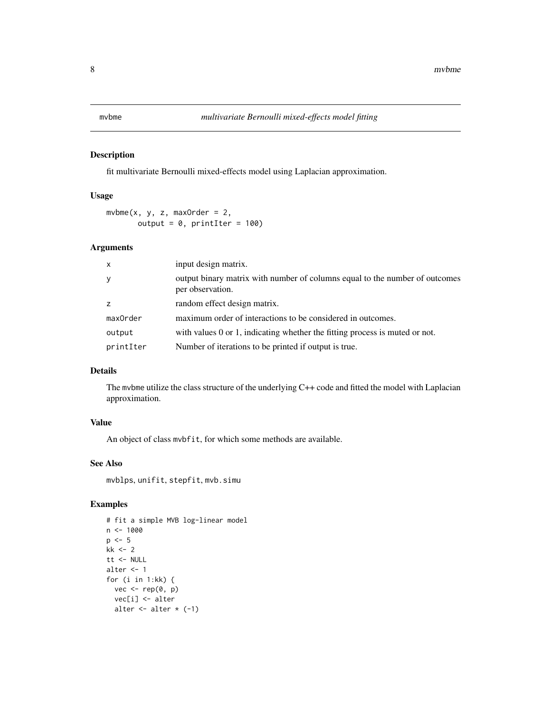# <span id="page-7-0"></span>Description

fit multivariate Bernoulli mixed-effects model using Laplacian approximation.

# Usage

 $m$ vbme(x, y, z, maxOrder = 2, output =  $0$ , printIter = 100)

# Arguments

| input design matrix.                                                                            |
|-------------------------------------------------------------------------------------------------|
| output binary matrix with number of columns equal to the number of outcomes<br>per observation. |
| random effect design matrix.                                                                    |
| maximum order of interactions to be considered in outcomes.                                     |
| with values $0$ or $1$ , indicating whether the fitting process is muted or not.                |
| Number of iterations to be printed if output is true.                                           |
|                                                                                                 |

# Details

The mvbme utilize the class structure of the underlying C++ code and fitted the model with Laplacian approximation.

#### Value

An object of class mvbfit, for which some methods are available.

#### See Also

mvblps, unifit, stepfit, mvb.simu

```
# fit a simple MVB log-linear model
n < - 1000p \le -5kk <-2tt <- NULL
alter <- 1
for (i in 1:kk) {
  vec <- rep(0, p)
  vec[i] <- alter
  alter \leftarrow alter \star (-1)
```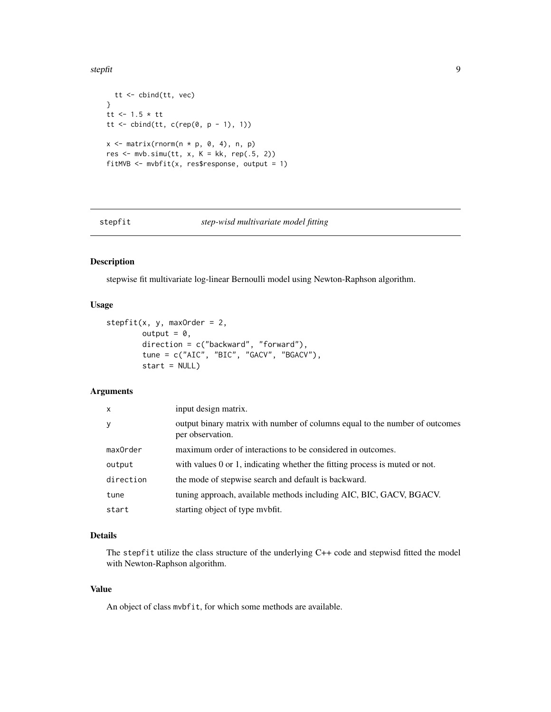<span id="page-8-0"></span>stepfit 9

```
tt <- cbind(tt, vec)
}
tt <- 1.5 * tt
tt <- cbind(tt, c(rep(0, p - 1), 1))
x \le matrix(rnorm(n * p, 0, 4), n, p)
res \leq mvb.simu(tt, x, K = kk, rep(.5, 2))
fitMVB \leq mvbfit(x, res$response, output = 1)
```
stepfit *step-wisd multivariate model fitting*

# Description

stepwise fit multivariate log-linear Bernoulli model using Newton-Raphson algorithm.

#### Usage

```
stepfit(x, y, maxOrder = 2,
        output = 0,
        direction = c("backward", "forward"),
        tune = c("AIC", "BIC", "GACV", "BGACV"),
        start = NULL)
```
#### Arguments

| $\mathsf{x}$ | input design matrix.                                                                            |
|--------------|-------------------------------------------------------------------------------------------------|
| y            | output binary matrix with number of columns equal to the number of outcomes<br>per observation. |
| maxOrder     | maximum order of interactions to be considered in outcomes.                                     |
| output       | with values $0$ or $1$ , indicating whether the fitting process is muted or not.                |
| direction    | the mode of stepwise search and default is backward.                                            |
| tune         | tuning approach, available methods including AIC, BIC, GACV, BGACV.                             |
| start        | starting object of type mybfit.                                                                 |

# Details

The stepfit utilize the class structure of the underlying C++ code and stepwisd fitted the model with Newton-Raphson algorithm.

#### Value

An object of class mvbfit, for which some methods are available.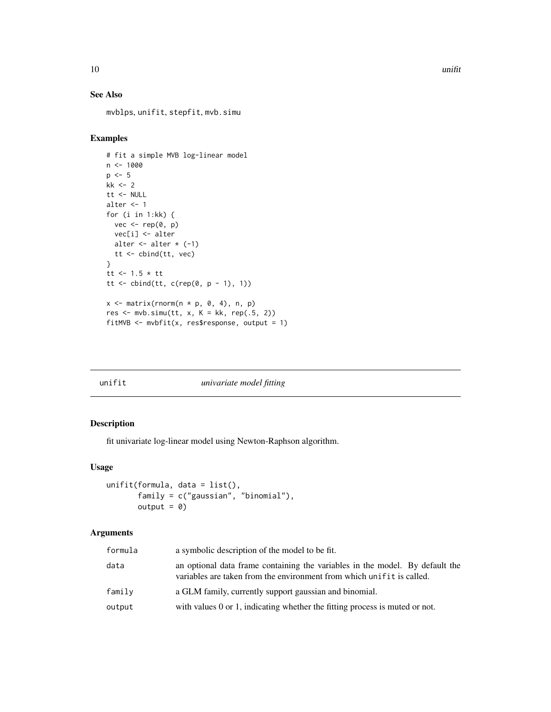#### See Also

mvblps, unifit, stepfit, mvb.simu

# Examples

```
# fit a simple MVB log-linear model
n < -1000p \le -5kk <- 2
tt <- NULL
alter <- 1
for (i in 1:kk) {
 vec <- rep(0, p)
 vec[i] <- alter
 alter \leq alter \star (-1)
 tt <- cbind(tt, vec)
}
tt <- 1.5 * tt
tt <- cbind(tt, c(rep(0, p - 1), 1))
x \le matrix(rnorm(n * p, 0, 4), n, p)
res \leq mvb.simu(tt, x, K = kk, rep(.5, 2))
fitMVB \leq mvbfit(x, res$response, output = 1)
```
# unifit *univariate model fitting*

# Description

fit univariate log-linear model using Newton-Raphson algorithm.

#### Usage

```
unifit(formula, data = list(),
       family = c("gaussian", "binomial"),
      output = 0)
```
# Arguments

| formula | a symbolic description of the model to be fit.                                                                                                        |
|---------|-------------------------------------------------------------------------------------------------------------------------------------------------------|
| data    | an optional data frame containing the variables in the model. By default the<br>variables are taken from the environment from which unifit is called. |
| family  | a GLM family, currently support gaussian and binomial.                                                                                                |
| output  | with values 0 or 1, indicating whether the fitting process is muted or not.                                                                           |

<span id="page-9-0"></span>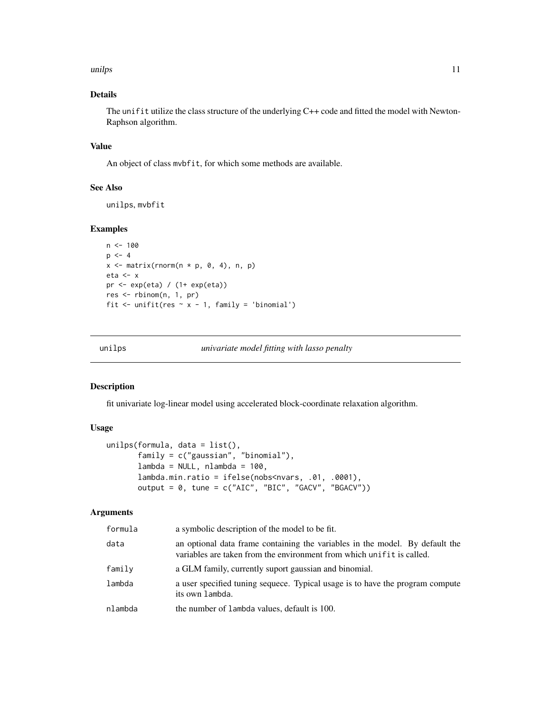#### <span id="page-10-0"></span>unilps that the contract of the contract of the contract of the contract of the contract of the contract of the contract of the contract of the contract of the contract of the contract of the contract of the contract of th

# Details

The unifit utilize the class structure of the underlying C++ code and fitted the model with Newton-Raphson algorithm.

#### Value

An object of class mvbfit, for which some methods are available.

# See Also

unilps, mvbfit

#### Examples

```
n < -100p \le -4x \le matrix(rnorm(n * p, 0, 4), n, p)
eta <- x
pr <- exp(eta) / (1+ exp(eta))
res <- rbinom(n, 1, pr)
fit \le unifit(res \sim x - 1, family = 'binomial')
```
unilps *univariate model fitting with lasso penalty*

#### Description

fit univariate log-linear model using accelerated block-coordinate relaxation algorithm.

#### Usage

```
unilps(formula, data = list(),
      family = c("gaussian", "binomial"),
      lambda = NULL, nlambda = 100,lambda.min.ratio = ifelse(nobs<nvars, .01, .0001),
      output = 0, tune = c("AIC", "BIC", "GACV", "BGACV"))
```
#### Arguments

| formula | a symbolic description of the model to be fit.                                                                                                        |
|---------|-------------------------------------------------------------------------------------------------------------------------------------------------------|
| data    | an optional data frame containing the variables in the model. By default the<br>variables are taken from the environment from which unifit is called. |
| family  | a GLM family, currently suport gaussian and binomial.                                                                                                 |
| lambda  | a user specified tuning sequece. Typical usage is to have the program compute<br>its own lambda.                                                      |
| nlambda | the number of lambda values, default is 100.                                                                                                          |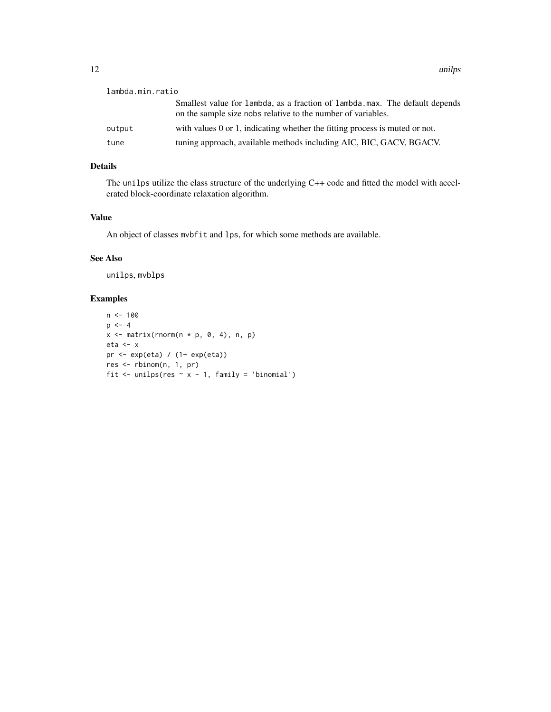| lambda.min.ratio |                                                                                                                                             |
|------------------|---------------------------------------------------------------------------------------------------------------------------------------------|
|                  | Smallest value for lambda, as a fraction of lambda.max. The default depends<br>on the sample size nobs relative to the number of variables. |
| output           | with values 0 or 1, indicating whether the fitting process is muted or not.                                                                 |
| tune             | tuning approach, available methods including AIC, BIC, GACV, BGACV.                                                                         |

# Details

The unilps utilize the class structure of the underlying C++ code and fitted the model with accelerated block-coordinate relaxation algorithm.

# Value

An object of classes mvbfit and lps, for which some methods are available.

# See Also

unilps, mvblps

```
n < - 100p \le -4x \leq matrix(rnorm(n * p, 0, 4), n, p)
eta <- x
pr <- exp(eta) / (1+ exp(eta))
res <- rbinom(n, 1, pr)
fit \leftarrow unilps(res \sim x - 1, family = 'binomial')
```